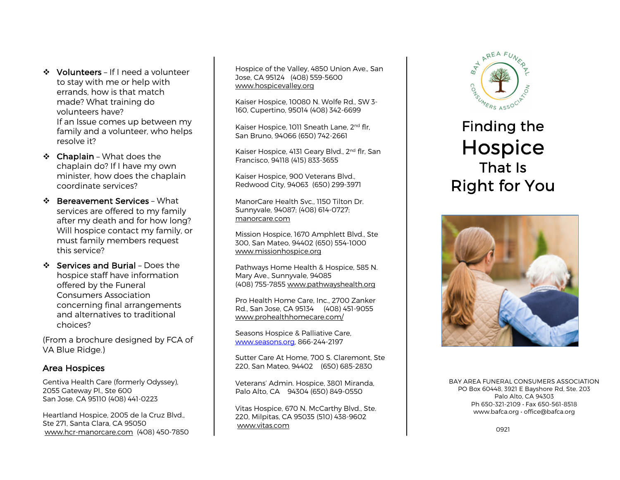❖ Volunteers – If I need a volunteer to stay with me or help with errands, how is that match made? What training do volunteers have? If an Issue comes up between my family and a volunteer, who helps

 $\div$  Chaplain - What does the chaplain do? If I have my own minister, how does the chaplain coordinate services?

resolve it?

- ❖ Bereavement Services What services are offered to my family after my death and for how long? Will hospice contact my family, or must family members request this service?
- $\div$  Services and Burial Does the hospice staff have information offered by the Funeral Consumers Association concerning final arrangements and alternatives to traditional choices?

(From a brochure designed by FCA of VA Blue Ridge.)

#### Area Hospices

Gentiva Health Care (formerly Odyssey), 2055 Gateway Pl., Ste 600 San Jose. CA 95110 (408) 441-0223

Heartland Hospice, 2005 de la Cruz Blvd., Ste 271, Santa Clara, CA 95050 www.hcr-manorcare.com (408) 450-7850

Hospice of the Valley, 4850 Union Ave., San Jose, CA 95124 (408) 559-5600 www.hospicevalley.org

Kaiser Hospice, 10080 N. Wolfe Rd., SW 3- 160, Cupertino, 95014 (408) 342-6699

Kaiser Hospice, 1011 Sneath Lane, 2<sup>nd</sup> flr. San Bruno, 94066 (650) 742-2661

Kaiser Hospice, 4131 Geary Blvd., 2<sup>nd</sup> flr, San Francisco, 94118 (415) 833-3655

Kaiser Hospice, 900 Veterans Blvd., Redwood City, 94063 (650) 299-3971

ManorCare Health Svc., 1150 Tilton Dr. Sunnyvale, 94087; (408) 614-0727; manorcare.com

Mission Hospice, 1670 Amphlett Blvd., Ste 300, San Mateo, 94402 (650) 554-1000 www.missionhospice.org

Pathways Home Health & Hospice, 585 N. Mary Ave., Sunnyvale, 94085 (408) 755-7855 www.pathwayshealth.org

Pro Health Home Care, Inc., 2700 Zanker Rd., San Jose, CA 95134 (408) 451-9055 www.prohealthhomecare.com/

Seasons Hospice & Palliative Care, www.seasons.org, 866-244-2197

Sutter Care At Home, 700 S. Claremont, Ste 220, San Mateo, 94402 (650) 685-2830

Veterans' Admin. Hospice, 3801 Miranda, Palo Alto, CA 94304 (650) 849-0550

Vitas Hospice, 670 N. McCarthy Blvd., Ste. 220, Milpitas, CA 95035 (510) 438-9602 www.vitas.com



# Finding the Hospice<br>That Is Right for You



BAY AREA FUNERAL CONSUMERS ASSOCIATION PO Box 60448, 3921 E Bayshore Rd, Ste. 203 Palo Alto, CA 94303 Ph 650-321-2109 • Fax 650-561-8518 www.bafca.org • office@bafca.org

0921